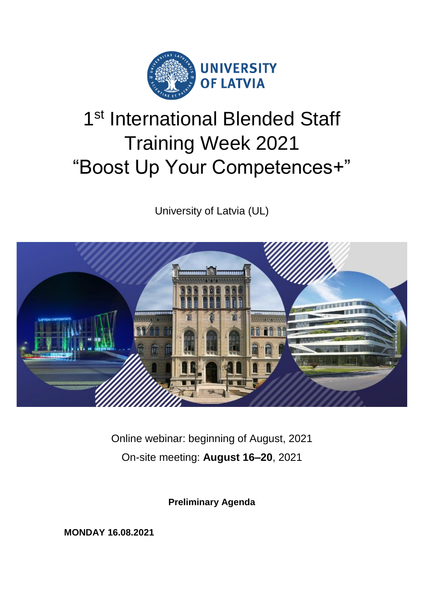

# 1<sup>st</sup> International Blended Staff Training Week 2021 "Boost Up Your Competences+"

University of Latvia (UL)



Online webinar: beginning of August, 2021 On-site meeting: **August 16–20**, 2021

**Preliminary Agenda**

**MONDAY 16.08.2021**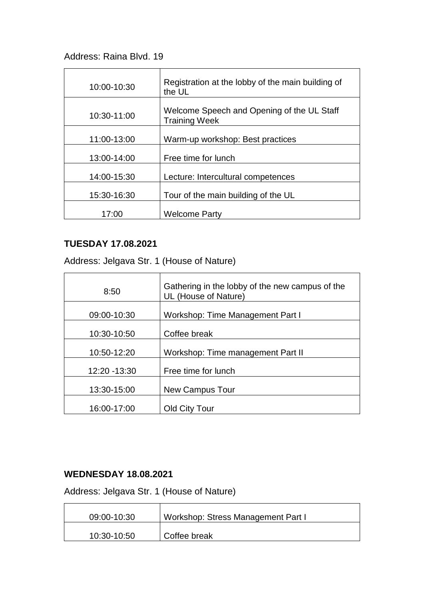## Address: Raina Blvd. 19

| 10:00-10:30 | Registration at the lobby of the main building of<br>the UL        |
|-------------|--------------------------------------------------------------------|
| 10:30-11:00 | Welcome Speech and Opening of the UL Staff<br><b>Training Week</b> |
| 11:00-13:00 | Warm-up workshop: Best practices                                   |
| 13:00-14:00 | Free time for lunch                                                |
| 14:00-15:30 | Lecture: Intercultural competences                                 |
| 15:30-16:30 | Tour of the main building of the UL                                |
| 17:00       | <b>Welcome Party</b>                                               |

# **TUESDAY 17.08.2021**

Address: Jelgava Str. 1 (House of Nature)

| 8:50          | Gathering in the lobby of the new campus of the<br>UL (House of Nature) |
|---------------|-------------------------------------------------------------------------|
| 09:00-10:30   | Workshop: Time Management Part I                                        |
| 10:30-10:50   | Coffee break                                                            |
| 10:50-12:20   | Workshop: Time management Part II                                       |
| 12:20 - 13:30 | Free time for lunch                                                     |
| 13:30-15:00   | New Campus Tour                                                         |
| 16:00-17:00   | Old City Tour                                                           |

### **WEDNESDAY 18.08.2021**

Address: Jelgava Str. 1 (House of Nature)

| 09:00-10:30 | Workshop: Stress Management Part I |
|-------------|------------------------------------|
| 10:30-10:50 | Coffee break                       |